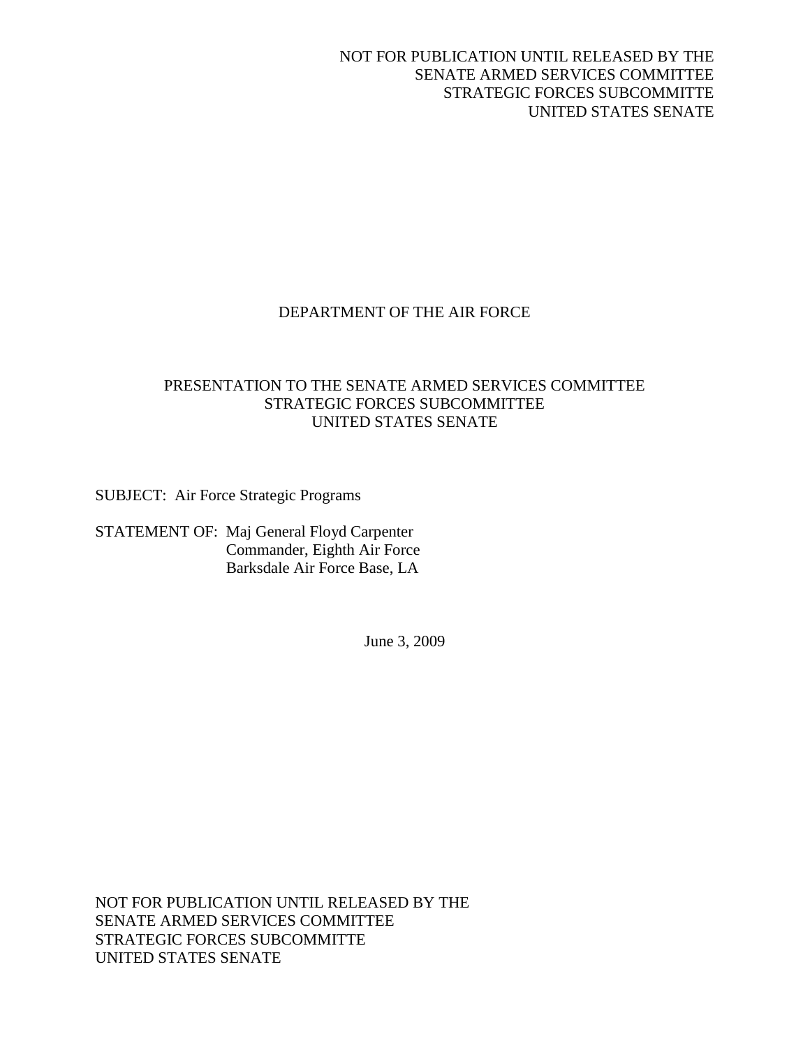## NOT FOR PUBLICATION UNTIL RELEASED BY THE SENATE ARMED SERVICES COMMITTEE STRATEGIC FORCES SUBCOMMITTE UNITED STATES SENATE

## DEPARTMENT OF THE AIR FORCE

## PRESENTATION TO THE SENATE ARMED SERVICES COMMITTEE STRATEGIC FORCES SUBCOMMITTEE UNITED STATES SENATE

SUBJECT: Air Force Strategic Programs

STATEMENT OF: Maj General Floyd Carpenter Commander, Eighth Air Force Barksdale Air Force Base, LA

June 3, 2009

NOT FOR PUBLICATION UNTIL RELEASED BY THE SENATE ARMED SERVICES COMMITTEE STRATEGIC FORCES SUBCOMMITTE UNITED STATES SENATE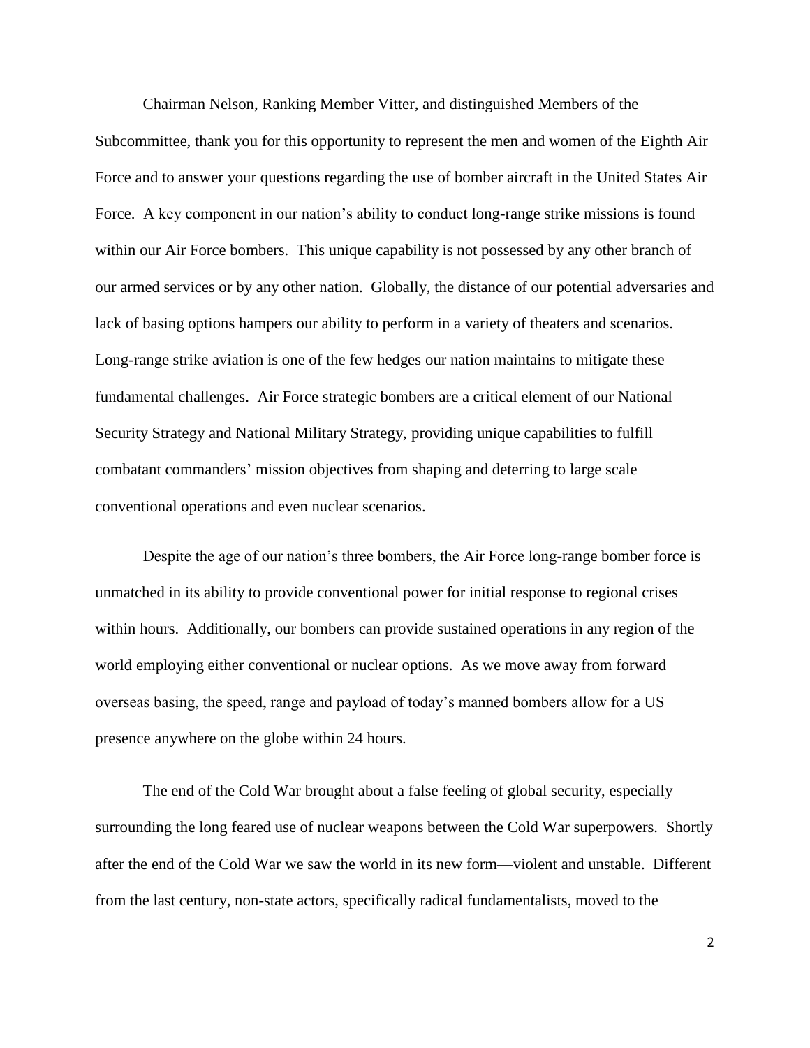Chairman Nelson, Ranking Member Vitter, and distinguished Members of the Subcommittee, thank you for this opportunity to represent the men and women of the Eighth Air Force and to answer your questions regarding the use of bomber aircraft in the United States Air Force. A key component in our nation's ability to conduct long-range strike missions is found within our Air Force bombers. This unique capability is not possessed by any other branch of our armed services or by any other nation. Globally, the distance of our potential adversaries and lack of basing options hampers our ability to perform in a variety of theaters and scenarios. Long-range strike aviation is one of the few hedges our nation maintains to mitigate these fundamental challenges. Air Force strategic bombers are a critical element of our National Security Strategy and National Military Strategy, providing unique capabilities to fulfill combatant commanders' mission objectives from shaping and deterring to large scale conventional operations and even nuclear scenarios.

Despite the age of our nation's three bombers, the Air Force long-range bomber force is unmatched in its ability to provide conventional power for initial response to regional crises within hours. Additionally, our bombers can provide sustained operations in any region of the world employing either conventional or nuclear options. As we move away from forward overseas basing, the speed, range and payload of today's manned bombers allow for a US presence anywhere on the globe within 24 hours.

The end of the Cold War brought about a false feeling of global security, especially surrounding the long feared use of nuclear weapons between the Cold War superpowers. Shortly after the end of the Cold War we saw the world in its new form—violent and unstable. Different from the last century, non-state actors, specifically radical fundamentalists, moved to the

2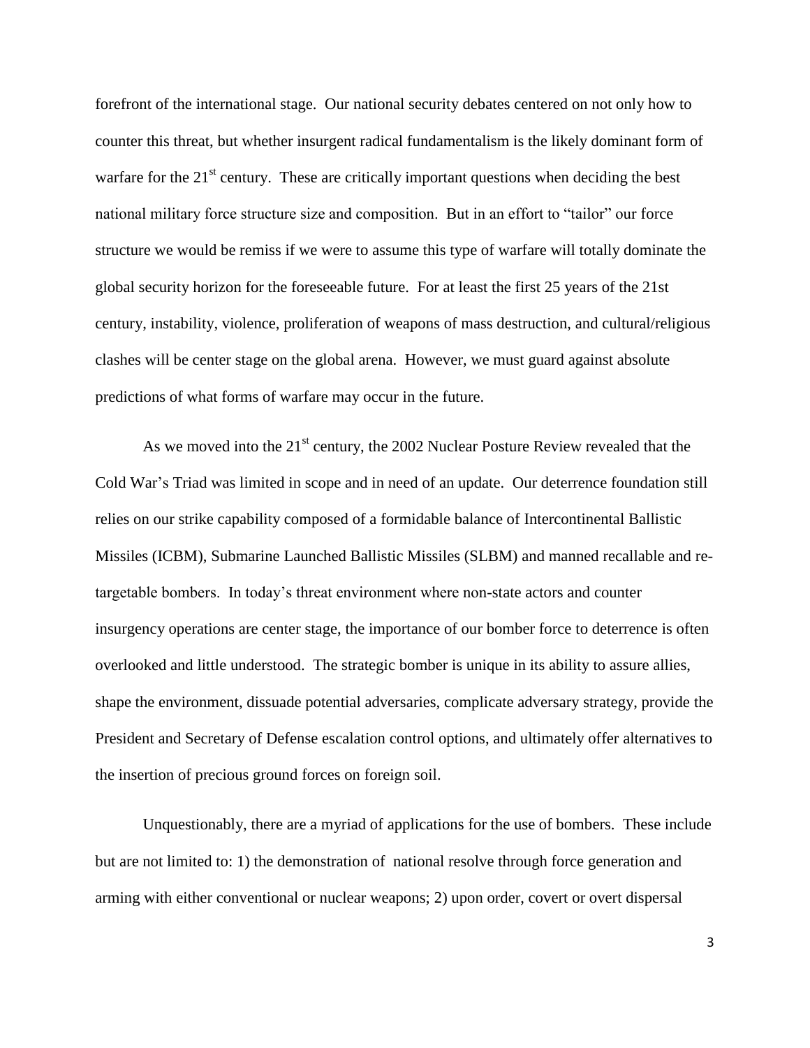forefront of the international stage. Our national security debates centered on not only how to counter this threat, but whether insurgent radical fundamentalism is the likely dominant form of warfare for the  $21<sup>st</sup>$  century. These are critically important questions when deciding the best national military force structure size and composition. But in an effort to "tailor" our force structure we would be remiss if we were to assume this type of warfare will totally dominate the global security horizon for the foreseeable future. For at least the first 25 years of the 21st century, instability, violence, proliferation of weapons of mass destruction, and cultural/religious clashes will be center stage on the global arena. However, we must guard against absolute predictions of what forms of warfare may occur in the future.

As we moved into the  $21<sup>st</sup>$  century, the 2002 Nuclear Posture Review revealed that the Cold War's Triad was limited in scope and in need of an update. Our deterrence foundation still relies on our strike capability composed of a formidable balance of Intercontinental Ballistic Missiles (ICBM), Submarine Launched Ballistic Missiles (SLBM) and manned recallable and retargetable bombers. In today's threat environment where non-state actors and counter insurgency operations are center stage, the importance of our bomber force to deterrence is often overlooked and little understood. The strategic bomber is unique in its ability to assure allies, shape the environment, dissuade potential adversaries, complicate adversary strategy, provide the President and Secretary of Defense escalation control options, and ultimately offer alternatives to the insertion of precious ground forces on foreign soil.

Unquestionably, there are a myriad of applications for the use of bombers. These include but are not limited to: 1) the demonstration of national resolve through force generation and arming with either conventional or nuclear weapons; 2) upon order, covert or overt dispersal

3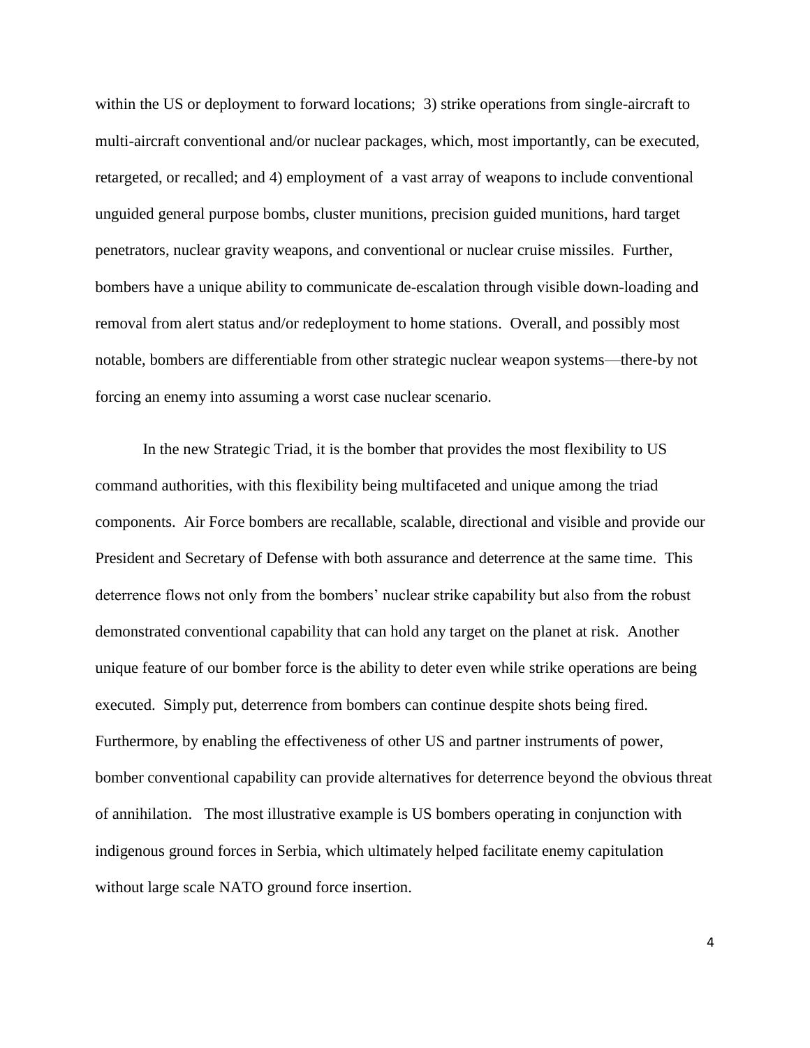within the US or deployment to forward locations; 3) strike operations from single-aircraft to multi-aircraft conventional and/or nuclear packages, which, most importantly, can be executed, retargeted, or recalled; and 4) employment of a vast array of weapons to include conventional unguided general purpose bombs, cluster munitions, precision guided munitions, hard target penetrators, nuclear gravity weapons, and conventional or nuclear cruise missiles. Further, bombers have a unique ability to communicate de-escalation through visible down-loading and removal from alert status and/or redeployment to home stations. Overall, and possibly most notable, bombers are differentiable from other strategic nuclear weapon systems—there-by not forcing an enemy into assuming a worst case nuclear scenario.

In the new Strategic Triad, it is the bomber that provides the most flexibility to US command authorities, with this flexibility being multifaceted and unique among the triad components. Air Force bombers are recallable, scalable, directional and visible and provide our President and Secretary of Defense with both assurance and deterrence at the same time. This deterrence flows not only from the bombers' nuclear strike capability but also from the robust demonstrated conventional capability that can hold any target on the planet at risk. Another unique feature of our bomber force is the ability to deter even while strike operations are being executed. Simply put, deterrence from bombers can continue despite shots being fired. Furthermore, by enabling the effectiveness of other US and partner instruments of power, bomber conventional capability can provide alternatives for deterrence beyond the obvious threat of annihilation. The most illustrative example is US bombers operating in conjunction with indigenous ground forces in Serbia, which ultimately helped facilitate enemy capitulation without large scale NATO ground force insertion.

4